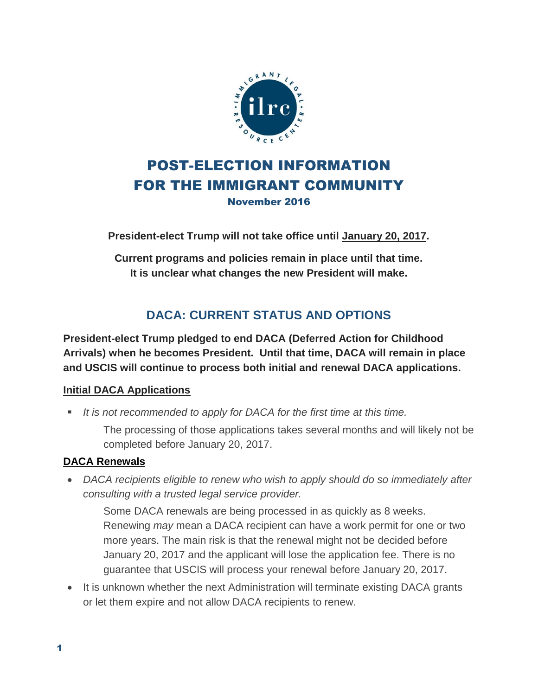

## POST-ELECTION INFORMATION FOR THE IMMIGRANT COMMUNITY November 2016

**President-elect Trump will not take office until January 20, 2017.** 

**Current programs and policies remain in place until that time. It is unclear what changes the new President will make.**

# **DACA: CURRENT STATUS AND OPTIONS**

**President-elect Trump pledged to end DACA (Deferred Action for Childhood Arrivals) when he becomes President. Until that time, DACA will remain in place and USCIS will continue to process both initial and renewal DACA applications.**

### **Initial DACA Applications**

*It is not recommended to apply for DACA for the first time at this time.* 

The processing of those applications takes several months and will likely not be completed before January 20, 2017.

### **DACA Renewals**

 *DACA recipients eligible to renew who wish to apply should do so immediately after consulting with a trusted legal service provider.* 

Some DACA renewals are being processed in as quickly as 8 weeks. Renewing *may* mean a DACA recipient can have a work permit for one or two more years. The main risk is that the renewal might not be decided before January 20, 2017 and the applicant will lose the application fee. There is no guarantee that USCIS will process your renewal before January 20, 2017.

• It is unknown whether the next Administration will terminate existing DACA grants or let them expire and not allow DACA recipients to renew.